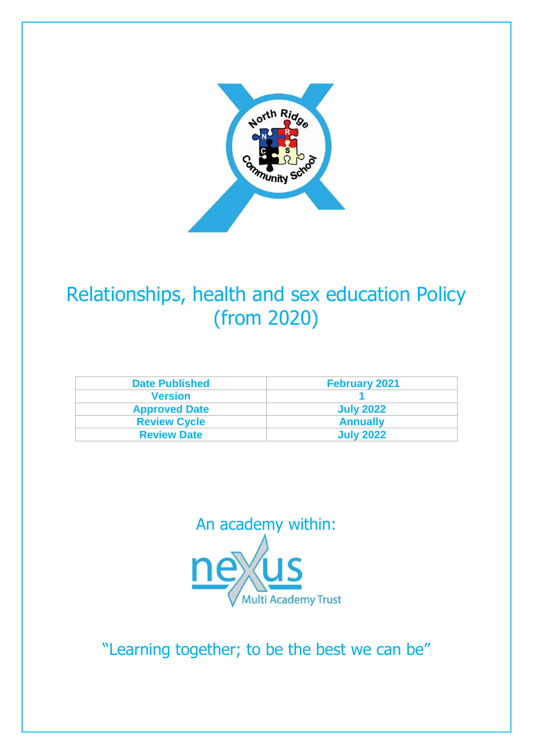

# Relationships, health and sex education Policy (from 2020)

| <b>Date Published</b> | <b>February 2021</b> |
|-----------------------|----------------------|
| <b>Version</b>        |                      |
| <b>Approved Date</b>  | <b>July 2022</b>     |
| <b>Review Cycle</b>   | <b>Annually</b>      |
| <b>Review Date</b>    | <b>July 2022</b>     |



"Learning together; to be the best we can be"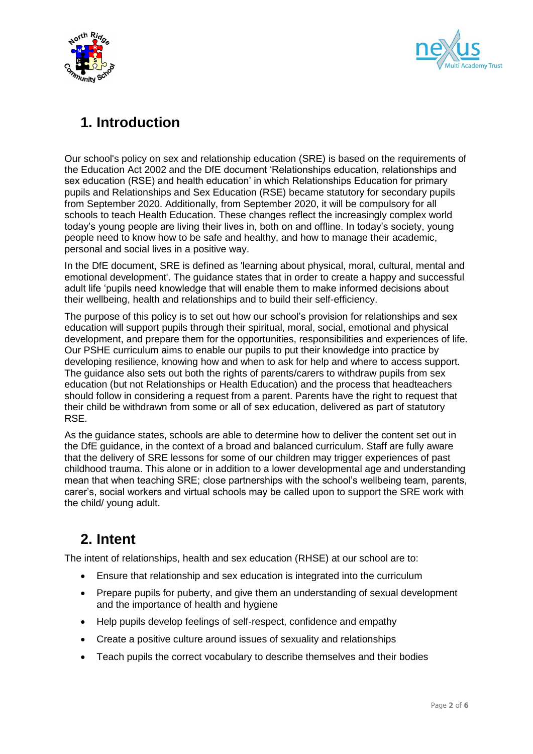



# **1. Introduction**

Our school's policy on sex and relationship education (SRE) is based on the requirements of the Education Act 2002 and the DfE document 'Relationships education, relationships and sex education (RSE) and health education' in which Relationships Education for primary pupils and Relationships and Sex Education (RSE) became statutory for secondary pupils from September 2020. Additionally, from September 2020, it will be compulsory for all schools to teach Health Education. These changes reflect the increasingly complex world today's young people are living their lives in, both on and offline. In today's society, young people need to know how to be safe and healthy, and how to manage their academic, personal and social lives in a positive way.

In the DfE document, SRE is defined as 'learning about physical, moral, cultural, mental and emotional development'. The guidance states that in order to create a happy and successful adult life 'pupils need knowledge that will enable them to make informed decisions about their wellbeing, health and relationships and to build their self-efficiency.

The purpose of this policy is to set out how our school's provision for relationships and sex education will support pupils through their spiritual, moral, social, emotional and physical development, and prepare them for the opportunities, responsibilities and experiences of life. Our PSHE curriculum aims to enable our pupils to put their knowledge into practice by developing resilience, knowing how and when to ask for help and where to access support. The guidance also sets out both the rights of parents/carers to withdraw pupils from sex education (but not Relationships or Health Education) and the process that headteachers should follow in considering a request from a parent. Parents have the right to request that their child be withdrawn from some or all of sex education, delivered as part of statutory RSE.

As the guidance states, schools are able to determine how to deliver the content set out in the DfE guidance, in the context of a broad and balanced curriculum. Staff are fully aware that the delivery of SRE lessons for some of our children may trigger experiences of past childhood trauma. This alone or in addition to a lower developmental age and understanding mean that when teaching SRE; close partnerships with the school's wellbeing team, parents, carer's, social workers and virtual schools may be called upon to support the SRE work with the child/ young adult.

## **2. Intent**

The intent of relationships, health and sex education (RHSE) at our school are to:

- Ensure that relationship and sex education is integrated into the curriculum
- Prepare pupils for puberty, and give them an understanding of sexual development and the importance of health and hygiene
- Help pupils develop feelings of self-respect, confidence and empathy
- Create a positive culture around issues of sexuality and relationships
- Teach pupils the correct vocabulary to describe themselves and their bodies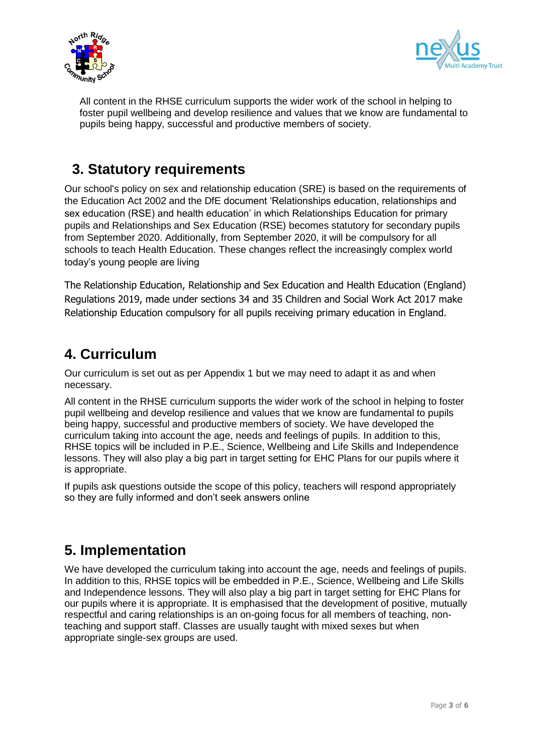



All content in the RHSE curriculum supports the wider work of the school in helping to foster pupil wellbeing and develop resilience and values that we know are fundamental to pupils being happy, successful and productive members of society.

### **3. Statutory requirements**

Our school's policy on sex and relationship education (SRE) is based on the requirements of the Education Act 2002 and the DfE document 'Relationships education, relationships and sex education (RSE) and health education' in which Relationships Education for primary pupils and Relationships and Sex Education (RSE) becomes statutory for secondary pupils from September 2020. Additionally, from September 2020, it will be compulsory for all schools to teach Health Education. These changes reflect the increasingly complex world today's young people are living

The Relationship Education, Relationship and Sex Education and Health Education (England) Regulations 2019, made under sections 34 and 35 Children and Social Work Act 2017 make Relationship Education compulsory for all pupils receiving primary education in England.

### **4. Curriculum**

Our curriculum is set out as per Appendix 1 but we may need to adapt it as and when necessary.

All content in the RHSE curriculum supports the wider work of the school in helping to foster pupil wellbeing and develop resilience and values that we know are fundamental to pupils being happy, successful and productive members of society. We have developed the curriculum taking into account the age, needs and feelings of pupils. In addition to this, RHSE topics will be included in P.E., Science, Wellbeing and Life Skills and Independence lessons. They will also play a big part in target setting for EHC Plans for our pupils where it is appropriate.

If pupils ask questions outside the scope of this policy, teachers will respond appropriately so they are fully informed and don't seek answers online

# **5. Implementation**

We have developed the curriculum taking into account the age, needs and feelings of pupils. In addition to this, RHSE topics will be embedded in P.E., Science, Wellbeing and Life Skills and Independence lessons. They will also play a big part in target setting for EHC Plans for our pupils where it is appropriate. It is emphasised that the development of positive, mutually respectful and caring relationships is an on-going focus for all members of teaching, nonteaching and support staff. Classes are usually taught with mixed sexes but when appropriate single-sex groups are used.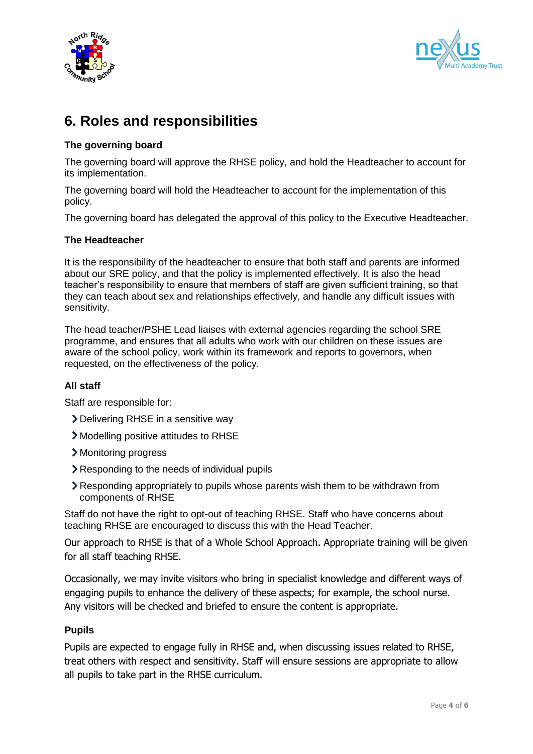



# **6. Roles and responsibilities**

### **The governing board**

The governing board will approve the RHSE policy, and hold the Headteacher to account for its implementation.

The governing board will hold the Headteacher to account for the implementation of this policy.

The governing board has delegated the approval of this policy to the Executive Headteacher.

### **The Headteacher**

It is the responsibility of the headteacher to ensure that both staff and parents are informed about our SRE policy, and that the policy is implemented effectively. It is also the head teacher's responsibility to ensure that members of staff are given sufficient training, so that they can teach about sex and relationships effectively, and handle any difficult issues with sensitivity.

The head teacher/PSHE Lead liaises with external agencies regarding the school SRE programme, and ensures that all adults who work with our children on these issues are aware of the school policy, work within its framework and reports to governors, when requested, on the effectiveness of the policy.

#### **All staff**

Staff are responsible for:

- Delivering RHSE in a sensitive way
- Modelling positive attitudes to RHSE
- Monitoring progress
- Responding to the needs of individual pupils
- Responding appropriately to pupils whose parents wish them to be withdrawn from components of RHSE

Staff do not have the right to opt-out of teaching RHSE. Staff who have concerns about teaching RHSE are encouraged to discuss this with the Head Teacher.

Our approach to RHSE is that of a Whole School Approach. Appropriate training will be given for all staff teaching RHSE.

Occasionally, we may invite visitors who bring in specialist knowledge and different ways of engaging pupils to enhance the delivery of these aspects; for example, the school nurse. Any visitors will be checked and briefed to ensure the content is appropriate.

### **Pupils**

Pupils are expected to engage fully in RHSE and, when discussing issues related to RHSE, treat others with respect and sensitivity. Staff will ensure sessions are appropriate to allow all pupils to take part in the RHSE curriculum.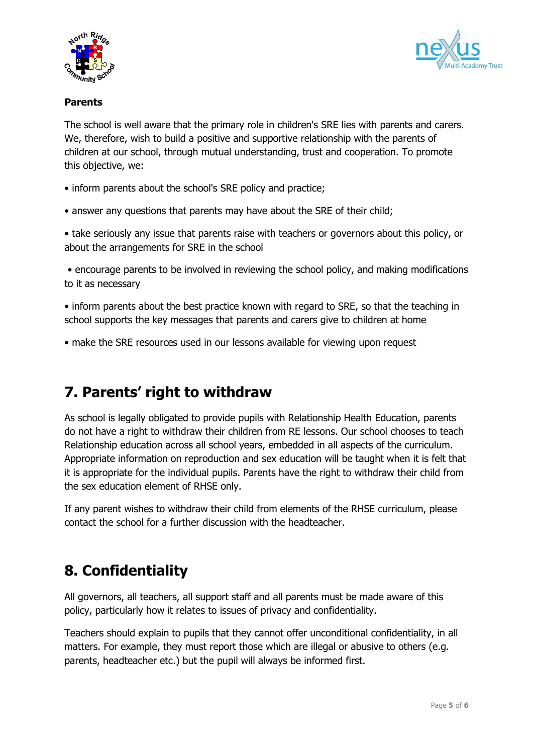



### **Parents**

The school is well aware that the primary role in children's SRE lies with parents and carers. We, therefore, wish to build a positive and supportive relationship with the parents of children at our school, through mutual understanding, trust and cooperation. To promote this objective, we:

- inform parents about the school's SRE policy and practice;
- answer any questions that parents may have about the SRE of their child;

• take seriously any issue that parents raise with teachers or governors about this policy, or about the arrangements for SRE in the school

• encourage parents to be involved in reviewing the school policy, and making modifications to it as necessary

• inform parents about the best practice known with regard to SRE, so that the teaching in school supports the key messages that parents and carers give to children at home

• make the SRE resources used in our lessons available for viewing upon request

## **7. Parents' right to withdraw**

As school is legally obligated to provide pupils with Relationship Health Education, parents do not have a right to withdraw their children from RE lessons. Our school chooses to teach Relationship education across all school years, embedded in all aspects of the curriculum. Appropriate information on reproduction and sex education will be taught when it is felt that it is appropriate for the individual pupils. Parents have the right to withdraw their child from the sex education element of RHSE only.

If any parent wishes to withdraw their child from elements of the RHSE curriculum, please contact the school for a further discussion with the headteacher.

# **8. Confidentiality**

All governors, all teachers, all support staff and all parents must be made aware of this policy, particularly how it relates to issues of privacy and confidentiality.

Teachers should explain to pupils that they cannot offer unconditional confidentiality, in all matters. For example, they must report those which are illegal or abusive to others (e.g. parents, headteacher etc.) but the pupil will always be informed first.